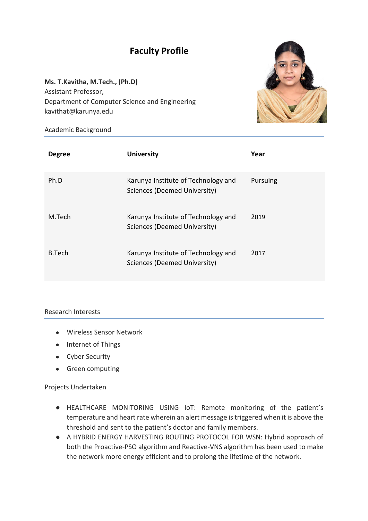## **Faculty Profile**

**Ms. T.Kavitha, M.Tech., (Ph.D)** Assistant Professor, Department of Computer Science and Engineering kavithat@karunya.edu



Academic Background

| <b>Degree</b> | <b>University</b>                                                   | Year     |
|---------------|---------------------------------------------------------------------|----------|
| Ph.D          | Karunya Institute of Technology and<br>Sciences (Deemed University) | Pursuing |
| M.Tech        | Karunya Institute of Technology and<br>Sciences (Deemed University) | 2019     |
| <b>B.Tech</b> | Karunya Institute of Technology and<br>Sciences (Deemed University) | 2017     |

## Research Interests

- Wireless Sensor Network
- Internet of Things
- Cyber Security
- Green computing

## Projects Undertaken

- HEALTHCARE MONITORING USING IoT: Remote monitoring of the patient's temperature and heart rate wherein an alert message is triggered when it is above the threshold and sent to the patient's doctor and family members.
- A HYBRID ENERGY HARVESTING ROUTING PROTOCOL FOR WSN: Hybrid approach of both the Proactive-PSO algorithm and Reactive-VNS algorithm has been used to make the network more energy efficient and to prolong the lifetime of the network.